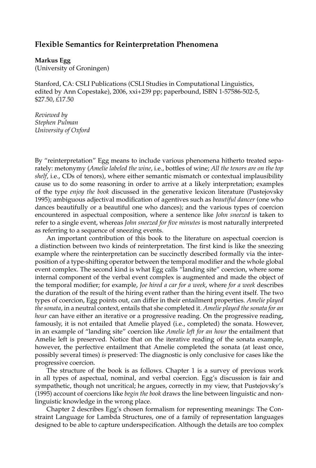## **Flexible Semantics for Reinterpretation Phenomena**

## **Markus Egg**

(University of Groningen)

Stanford, CA: CSLI Publications (CSLI Studies in Computational Linguistics, edited by Ann Copestake), 2006, xxi+239 pp; paperbound, ISBN 1-57586-502-5, \$27.50, £17.50

*Reviewed by Stephen Pulman University of Oxford*

By "reinterpretation" Egg means to include various phenomena hitherto treated separately: metonymy (*Amelie labeled the wine*, i.e., bottles of wine; *All the tenors are on the top shelf*, i.e., CDs of tenors), where either semantic mismatch or contextual implausibility cause us to do some reasoning in order to arrive at a likely interpretation; examples of the type *enjoy the book* discussed in the generative lexicon literature (Pustejovsky 1995); ambiguous adjectival modification of agentives such as *beautiful dancer* (one who dances beautifully or a beautiful one who dances); and the various types of coercion encountered in aspectual composition, where a sentence like *John sneezed* is taken to refer to a single event, whereas *John sneezed for five minutes* is most naturally interpreted as referring to a sequence of sneezing events.

An important contribution of this book to the literature on aspectual coercion is a distinction between two kinds of reinterpretation. The first kind is like the sneezing example where the reinterpretation can be succinctly described formally via the interposition of a type-shifting operator between the temporal modifier and the whole global event complex. The second kind is what Egg calls "landing site" coercion, where some internal component of the verbal event complex is augmented and made the object of the temporal modifier; for example, *Joe hired a car for a week*, where *for a week* describes the duration of the result of the hiring event rather than the hiring event itself. The two types of coercion, Egg points out, can differ in their entailment properties. *Amelie played the sonata*, in a neutral context, entails that she completed it. *Amelie played the sonata for an hour* can have either an iterative or a progressive reading. On the progressive reading, famously, it is not entailed that Amelie played (i.e., completed) the sonata. However, in an example of "landing site" coercion like *Amelie left for an hour* the entailment that Amelie left is preserved. Notice that on the iterative reading of the sonata example, however, the perfective entailment that Amelie completed the sonata (at least once, possibly several times) *is* preserved: The diagnostic is only conclusive for cases like the progressive coercion.

The structure of the book is as follows. Chapter 1 is a survey of previous work in all types of aspectual, nominal, and verbal coercion. Egg's discussion is fair and sympathetic, though not uncritical; he argues, correctly in my view, that Pustejovsky's (1995) account of coercions like *begin the book* draws the line between linguistic and nonlinguistic knowledge in the wrong place.

Chapter 2 describes Egg's chosen formalism for representing meanings: The Constraint Language for Lambda Structures, one of a family of representation languages designed to be able to capture underspecification. Although the details are too complex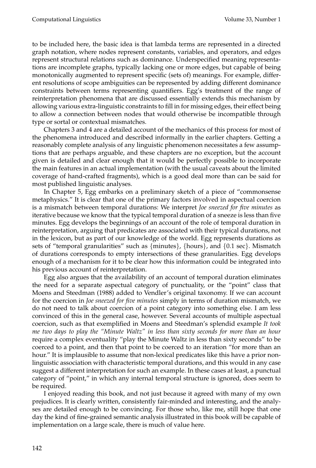to be included here, the basic idea is that lambda terms are represented in a directed graph notation, where nodes represent constants, variables, and operators, and edges represent structural relations such as dominance. Underspecified meaning representations are incomplete graphs, typically lacking one or more edges, but capable of being monotonically augmented to represent specific (sets of) meanings. For example, different resolutions of scope ambiguities can be represented by adding different dominance constraints between terms representing quantifiers. Egg's treatment of the range of reinterpretation phenomena that are discussed essentially extends this mechanism by allowing various extra-linguistic constraints to fill in for missing edges, their effect being to allow a connection between nodes that would otherwise be incompatible through type or sortal or contextual mismatches.

Chapters 3 and 4 are a detailed account of the mechanics of this process for most of the phenomena introduced and described informally in the earlier chapters. Getting a reasonably complete analysis of any linguistic phenomenon necessitates a few assumptions that are perhaps arguable, and these chapters are no exception, but the account given is detailed and clear enough that it would be perfectly possible to incorporate the main features in an actual implementation (with the usual caveats about the limited coverage of hand-crafted fragments), which is a good deal more than can be said for most published linguistic analyses.

In Chapter 5, Egg embarks on a preliminary sketch of a piece of "commonsense metaphysics." It is clear that one of the primary factors involved in aspectual coercion is a mismatch between temporal durations: We interpret *Joe sneezed for five minutes* as iterative because we know that the typical temporal duration of a sneeze is less than five minutes. Egg develops the beginnings of an account of the role of temporal duration in reinterpretation, arguing that predicates are associated with their typical durations, not in the lexicon, but as part of our knowledge of the world. Egg represents durations as sets of "temporal granularities" such as {minutes}, {hours}, and {0.1 sec}. Mismatch of durations corresponds to empty intersections of these granularities. Egg develops enough of a mechanism for it to be clear how this information could be integrated into his previous account of reinterpretation.

Egg also argues that the availability of an account of temporal duration eliminates the need for a separate aspectual category of punctuality, or the "point" class that Moens and Steedman (1988) added to Vendler's original taxonomy. If we can account for the coercion in *Joe sneezed for five minutes* simply in terms of duration mismatch, we do not need to talk about coercion of a point category into something else. I am less convinced of this in the general case, however. Several accounts of multiple aspectual coercion, such as that exemplified in Moens and Steedman's splendid example *It took me two days to play the "Minute Waltz" in less than sixty seconds for more than an hour* require a complex eventuality "play the Minute Waltz in less than sixty seconds" to be coerced to a point, and then that point to be coerced to an iteration "for more than an hour." It is implausible to assume that non-lexical predicates like this have a prior nonlinguistic association with characteristic temporal durations, and this would in any case suggest a different interpretation for such an example. In these cases at least, a punctual category of "point," in which any internal temporal structure is ignored, does seem to be required.

I enjoyed reading this book, and not just because it agreed with many of my own prejudices. It is clearly written, consistently fair-minded and interesting, and the analyses are detailed enough to be convincing. For those who, like me, still hope that one day the kind of fine-grained semantic analysis illustrated in this book will be capable of implementation on a large scale, there is much of value here.